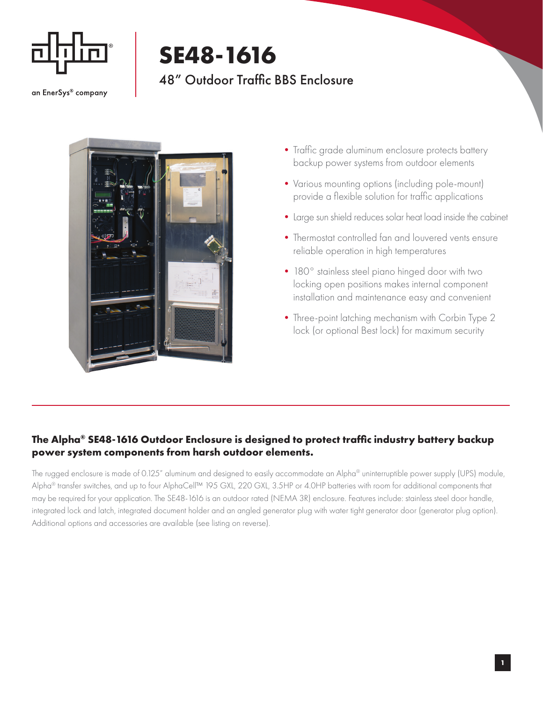

## **SE48-1616**

## 48" Outdoor Traffic BBS Enclosure

an EnerSys® company



- Traffic grade aluminum enclosure protects battery backup power systems from outdoor elements
- •Various mounting options (including pole-mount) provide a flexible solution for traffic applications
- •Large sun shield reduces solar heat load inside the cabinet
- •Thermostat controlled fan and louvered vents ensure reliable operation in high temperatures
- 180° stainless steel piano hinged door with two locking open positions makes internal component installation and maintenance easy and convenient
- Three-point latching mechanism with Corbin Type 2 lock (or optional Best lock) for maximum security

## **The Alpha® SE48-1616 Outdoor Enclosure is designed to protect traffic industry battery backup power system components from harsh outdoor elements.**

The rugged enclosure is made of 0.125" aluminum and designed to easily accommodate an Alpha® uninterruptible power supply (UPS) module, Alpha<sup>®</sup> transfer switches, and up to four AlphaCell™ 195 GXL, 220 GXL, 3.5HP or 4.0HP batteries with room for additional components that may be required for your application. The SE48-1616 is an outdoor rated (NEMA 3R) enclosure. Features include: stainless steel door handle, integrated lock and latch, integrated document holder and an angled generator plug with water tight generator door (generator plug option). Additional options and accessories are available (see listing on reverse).